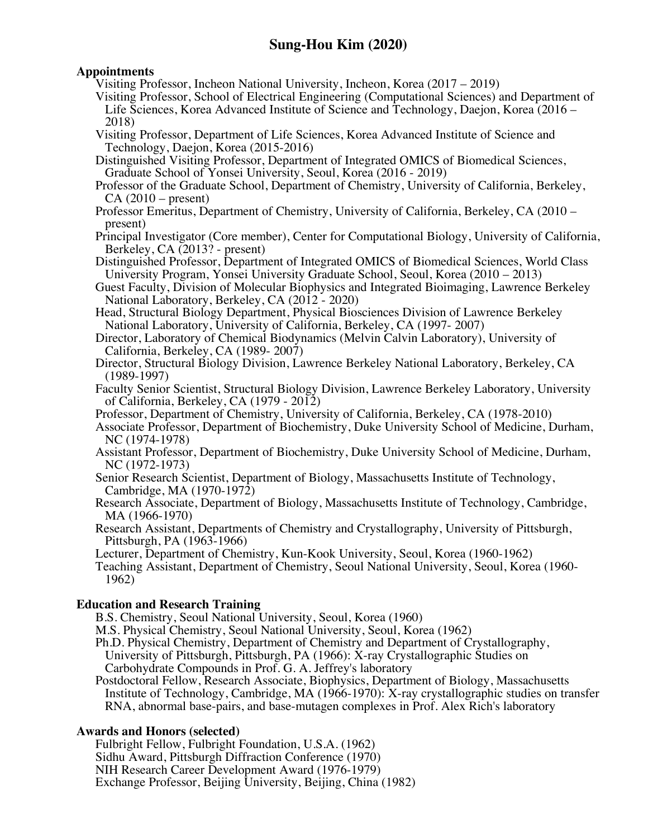## **Appointments**

Visiting Professor, Incheon National University, Incheon, Korea (2017 – 2019)

Visiting Professor, School of Electrical Engineering (Computational Sciences) and Department of Life Sciences, Korea Advanced Institute of Science and Technology, Daejon, Korea (2016 – 2018)

Visiting Professor, Department of Life Sciences, Korea Advanced Institute of Science and Technology, Daejon, Korea (2015-2016)

Distinguished Visiting Professor, Department of Integrated OMICS of Biomedical Sciences, Graduate School of Yonsei University, Seoul, Korea (2016 - 2019)

Professor of the Graduate School, Department of Chemistry, University of California, Berkeley,  $CA(2010 - present)$ 

Professor Emeritus, Department of Chemistry, University of California, Berkeley, CA (2010 – present)

Principal Investigator (Core member), Center for Computational Biology, University of California, Berkeley, CA (2013? - present)

Distinguished Professor, Department of Integrated OMICS of Biomedical Sciences, World Class University Program, Yonsei University Graduate School, Seoul, Korea (2010 – 2013)

Guest Faculty, Division of Molecular Biophysics and Integrated Bioimaging, Lawrence Berkeley National Laboratory, Berkeley, CA (2012 - 2020)

Head, Structural Biology Department, Physical Biosciences Division of Lawrence Berkeley National Laboratory, University of California, Berkeley, CA (1997- 2007)

- Director, Laboratory of Chemical Biodynamics (Melvin Calvin Laboratory), University of California, Berkeley, CA (1989- 2007)
- Director, Structural Biology Division, Lawrence Berkeley National Laboratory, Berkeley, CA (1989-1997)

Faculty Senior Scientist, Structural Biology Division, Lawrence Berkeley Laboratory, University of California, Berkeley, CA (1979 - 2012)

Professor, Department of Chemistry, University of California, Berkeley, CA (1978-2010)

Associate Professor, Department of Biochemistry, Duke University School of Medicine, Durham, NC (1974-1978)

Assistant Professor, Department of Biochemistry, Duke University School of Medicine, Durham, NC (1972-1973)

Senior Research Scientist, Department of Biology, Massachusetts Institute of Technology, Cambridge, MA (1970-1972)

Research Associate, Department of Biology, Massachusetts Institute of Technology, Cambridge, MA (1966-1970)

Research Assistant, Departments of Chemistry and Crystallography, University of Pittsburgh, Pittsburgh, PA (1963-1966)

Lecturer, Department of Chemistry, Kun-Kook University, Seoul, Korea (1960-1962)

Teaching Assistant, Department of Chemistry, Seoul National University, Seoul, Korea (1960- 1962)

# **Education and Research Training**

B.S. Chemistry, Seoul National University, Seoul, Korea (1960)

M.S. Physical Chemistry, Seoul National University, Seoul, Korea (1962)

Ph.D. Physical Chemistry, Department of Chemistry and Department of Crystallography,

University of Pittsburgh, Pittsburgh, PA (1966): X-ray Crystallographic Studies on

Carbohydrate Compounds in Prof. G. A. Jeffrey's laboratory

Postdoctoral Fellow, Research Associate, Biophysics, Department of Biology, Massachusetts Institute of Technology, Cambridge, MA (1966-1970): X-ray crystallographic studies on transfer RNA, abnormal base-pairs, and base-mutagen complexes in Prof. Alex Rich's laboratory

### **Awards and Honors (selected)**

Fulbright Fellow, Fulbright Foundation, U.S.A. (1962) Sidhu Award, Pittsburgh Diffraction Conference (1970) NIH Research Career Development Award (1976-1979) Exchange Professor, Beijing University, Beijing, China (1982)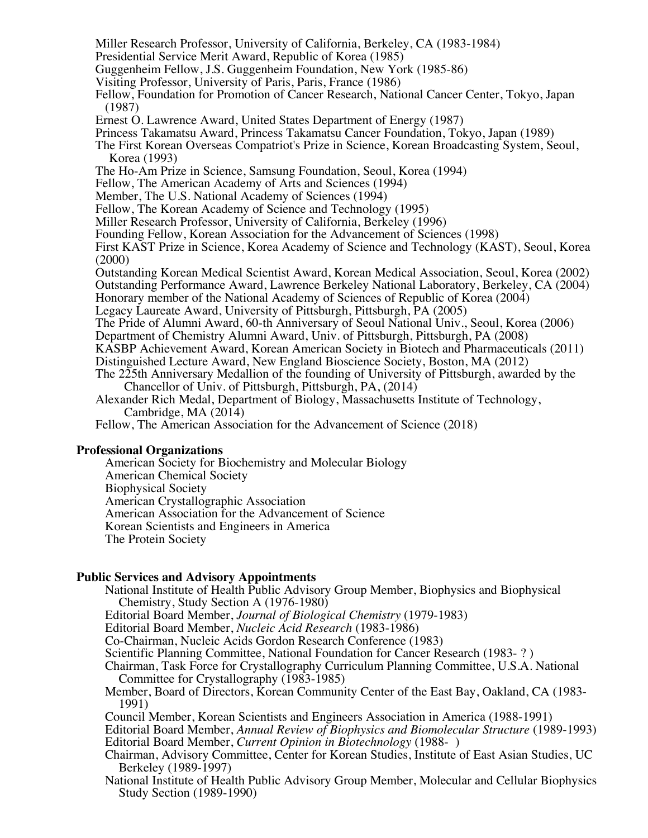Miller Research Professor, University of California, Berkeley, CA (1983-1984)

Presidential Service Merit Award, Republic of Korea (1985)

Guggenheim Fellow, J.S. Guggenheim Foundation, New York (1985-86)

Visiting Professor, University of Paris, Paris, France (1986)

Fellow, Foundation for Promotion of Cancer Research, National Cancer Center, Tokyo, Japan (1987)

Ernest O. Lawrence Award, United States Department of Energy (1987)

Princess Takamatsu Award, Princess Takamatsu Cancer Foundation, Tokyo, Japan (1989)

The First Korean Overseas Compatriot's Prize in Science, Korean Broadcasting System, Seoul, Korea (1993)

The Ho-Am Prize in Science, Samsung Foundation, Seoul, Korea (1994)

Fellow, The American Academy of Arts and Sciences (1994)

Member, The U.S. National Academy of Sciences (1994)

Fellow, The Korean Academy of Science and Technology (1995)

Miller Research Professor, University of California, Berkeley (1996)

Founding Fellow, Korean Association for the Advancement of Sciences (1998)

First KAST Prize in Science, Korea Academy of Science and Technology (KAST), Seoul, Korea (2000)

Outstanding Korean Medical Scientist Award, Korean Medical Association, Seoul, Korea (2002) Outstanding Performance Award, Lawrence Berkeley National Laboratory, Berkeley, CA (2004) Honorary member of the National Academy of Sciences of Republic of Korea (2004)

Legacy Laureate Award, University of Pittsburgh, Pittsburgh, PA (2005)

The Pride of Alumni Award, 60-th Anniversary of Seoul National Univ., Seoul, Korea (2006)

Department of Chemistry Alumni Award, Univ. of Pittsburgh, Pittsburgh, PA (2008)

KASBP Achievement Award, Korean American Society in Biotech and Pharmaceuticals (2011) Distinguished Lecture Award, New England Bioscience Society, Boston, MA (2012)

The 225th Anniversary Medallion of the founding of University of Pittsburgh, awarded by the

Chancellor of Univ. of Pittsburgh, Pittsburgh, PA, (2014)

Alexander Rich Medal, Department of Biology, Massachusetts Institute of Technology, Cambridge, MA (2014)

Fellow, The American Association for the Advancement of Science (2018)

#### **Professional Organizations**

American Society for Biochemistry and Molecular Biology American Chemical Society Biophysical Society American Crystallographic Association American Association for the Advancement of Science Korean Scientists and Engineers in America The Protein Society

#### **Public Services and Advisory Appointments**

National Institute of Health Public Advisory Group Member, Biophysics and Biophysical Chemistry, Study Section A (1976-1980)

Editorial Board Member, *Journal of Biological Chemistry* (1979-1983)

Editorial Board Member, *Nucleic Acid Research* (1983-1986)

Co-Chairman, Nucleic Acids Gordon Research Conference (1983)

Scientific Planning Committee, National Foundation for Cancer Research (1983- ? )

Chairman, Task Force for Crystallography Curriculum Planning Committee, U.S.A. National Committee for Crystallography (1983-1985)

Member, Board of Directors, Korean Community Center of the East Bay, Oakland, CA (1983- 1991)

Council Member, Korean Scientists and Engineers Association in America (1988-1991)

Editorial Board Member, *Annual Review of Biophysics and Biomolecular Structure* (1989-1993) Editorial Board Member, *Current Opinion in Biotechnology* (1988- )

Chairman, Advisory Committee, Center for Korean Studies, Institute of East Asian Studies, UC Berkeley (1989-1997)

National Institute of Health Public Advisory Group Member, Molecular and Cellular Biophysics Study Section (1989-1990)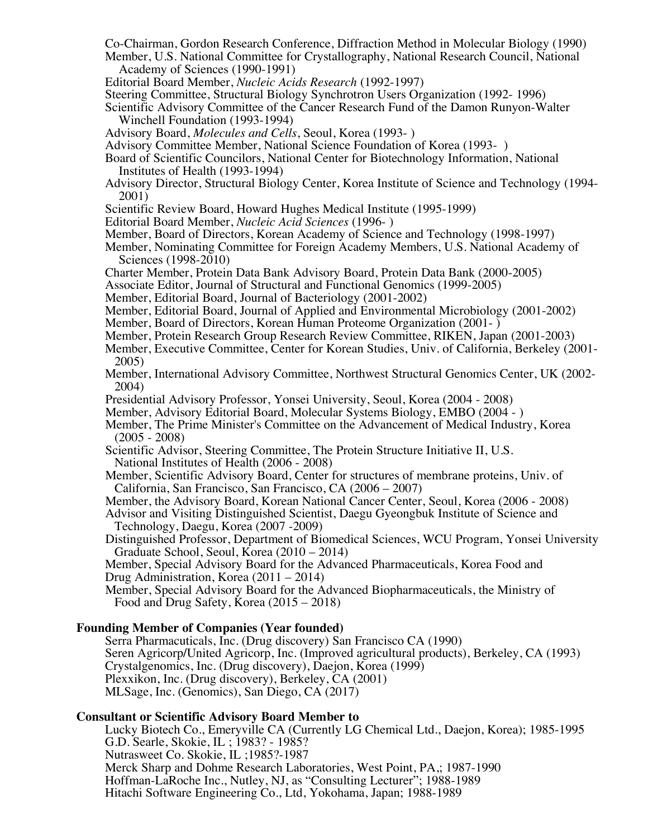Co-Chairman, Gordon Research Conference, Diffraction Method in Molecular Biology (1990) Member, U.S. National Committee for Crystallography, National Research Council, National

Academy of Sciences (1990-1991)

- Editorial Board Member, *Nucleic Acids Research* (1992-1997)
- Steering Committee, Structural Biology Synchrotron Users Organization (1992- 1996)
- Scientific Advisory Committee of the Cancer Research Fund of the Damon Runyon-Walter Winchell Foundation (1993-1994)
- Advisory Board, *Molecules and Cells*, Seoul, Korea (1993- )
- Advisory Committee Member, National Science Foundation of Korea (1993- )

Board of Scientific Councilors, National Center for Biotechnology Information, National Institutes of Health (1993-1994)

- Advisory Director, Structural Biology Center, Korea Institute of Science and Technology (1994- 2001)
- Scientific Review Board, Howard Hughes Medical Institute (1995-1999)
- Editorial Board Member, *Nucleic Acid Sciences* (1996- )
- Member, Board of Directors, Korean Academy of Science and Technology (1998-1997)
- Member, Nominating Committee for Foreign Academy Members, U.S. National Academy of Sciences (1998-2010)
- Charter Member, Protein Data Bank Advisory Board, Protein Data Bank (2000-2005)
- Associate Editor, Journal of Structural and Functional Genomics (1999-2005)
- Member, Editorial Board, Journal of Bacteriology (2001-2002)
- Member, Editorial Board, Journal of Applied and Environmental Microbiology (2001-2002)
- Member, Board of Directors, Korean Human Proteome Organization (2001- )
- Member, Protein Research Group Research Review Committee, RIKEN, Japan (2001-2003)
- Member, Executive Committee, Center for Korean Studies, Univ. of California, Berkeley (2001- 2005)
- Member, International Advisory Committee, Northwest Structural Genomics Center, UK (2002- 2004)
- Presidential Advisory Professor, Yonsei University, Seoul, Korea (2004 2008)
- Member, Advisory Editorial Board, Molecular Systems Biology, EMBO (2004 )

 Member, The Prime Minister's Committee on the Advancement of Medical Industry, Korea (2005 - 2008)

- Scientific Advisor, Steering Committee, The Protein Structure Initiative II, U.S. National Institutes of Health (2006 - 2008)
- Member, Scientific Advisory Board, Center for structures of membrane proteins, Univ. of California, San Francisco, San Francisco, CA (2006 2007)
- 

Member, the Advisory Board, Korean National Cancer Center, Seoul, Korea (2006 - 2008)<br>Advisor and Visiting Distinguished Scientist, Daegu Gyeongbuk Institute of Science and<br>Technology, Daegu, Korea (2007 -2009)

Distinguished Professor, Department of Biomedical Sciences, WCU Program, Yonsei University Graduate School, Seoul, Korea (2010 – 2014)

Member, Special Advisory Board for the Advanced Pharmaceuticals, Korea Food and Drug Administration, Korea (2011 – 2014)

 Member, Special Advisory Board for the Advanced Biopharmaceuticals, the Ministry of Food and Drug Safety, Korea (2015 – 2018)

#### **Founding Member of Companies (Year founded)**

Serra Pharmacuticals, Inc. (Drug discovery) San Francisco CA (1990) Seren Agricorp**/**United Agricorp, Inc. (Improved agricultural products), Berkeley, CA (1993) Crystalgenomics, Inc. (Drug discovery), Daejon, Korea (1999) Plexxikon, Inc. (Drug discovery), Berkeley, CA (2001) MLSage, Inc. (Genomics), San Diego, CA (2017)

#### **Consultant or Scientific Advisory Board Member to**

Lucky Biotech Co., Emeryville CA (Currently LG Chemical Ltd., Daejon, Korea); 1985-1995 G.D. Searle, Skokie, IL ; 1983? - 1985? Nutrasweet Co. Skokie, IL ;1985?-1987 Merck Sharp and Dohme Research Laboratories, West Point, PA,; 1987-1990 Hoffman-LaRoche Inc., Nutley, NJ, as "Consulting Lecturer"; 1988-1989 Hitachi Software Engineering Co., Ltd, Yokohama, Japan; 1988-1989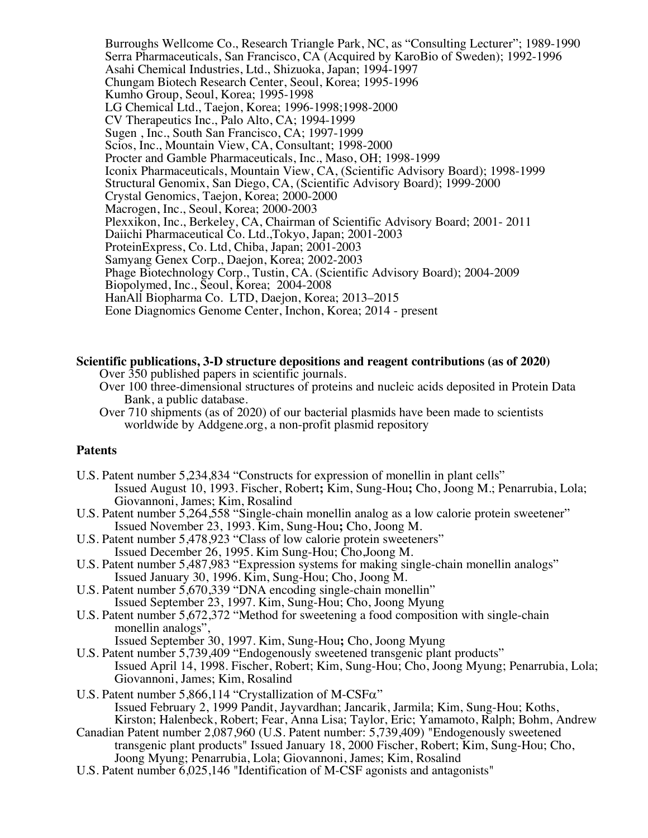Burroughs Wellcome Co., Research Triangle Park, NC, as "Consulting Lecturer"; 1989-1990 Serra Pharmaceuticals, San Francisco, CA (Acquired by KaroBio of Sweden); 1992-1996 Asahi Chemical Industries, Ltd., Shizuoka, Japan; 1994-1997 Chungam Biotech Research Center, Seoul, Korea; 1995-1996 Kumho Group, Seoul, Korea; 1995-1998 LG Chemical Ltd., Taejon, Korea; 1996-1998;1998-2000 CV Therapeutics Inc., Palo Alto, CA; 1994-1999 Sugen , Inc., South San Francisco, CA; 1997-1999 Scios, Inc., Mountain View, CA, Consultant; 1998-2000 Procter and Gamble Pharmaceuticals, Inc., Maso, OH; 1998-1999 Iconix Pharmaceuticals, Mountain View, CA, (Scientific Advisory Board); 1998-1999 Structural Genomix, San Diego, CA, (Scientific Advisory Board); 1999-2000 Crystal Genomics, Taejon, Korea; 2000-2000 Macrogen, Inc., Seoul, Korea; 2000-2003 Plexxikon, Inc., Berkeley, CA, Chairman of Scientific Advisory Board; 2001- 2011 Daiichi Pharmaceutical Co. Ltd.,Tokyo, Japan; 2001-2003 ProteinExpress, Co. Ltd, Chiba, Japan; 2001-2003 Samyang Genex Corp., Daejon, Korea; 2002-2003 Phage Biotechnology Corp., Tustin, CA. (Scientific Advisory Board); 2004-2009 Biopolymed, Inc., Seoul, Korea; 2004-2008 HanAll Biopharma Co. LTD, Daejon, Korea; 2013–2015 Eone Diagnomics Genome Center, Inchon, Korea; 2014 - present

# **Scientific publications, 3-D structure depositions and reagent contributions (as of 2020)** Over 350 published papers in scientific journals.

 Over 100 three-dimensional structures of proteins and nucleic acids deposited in Protein Data Bank, a public database.

 Over 710 shipments (as of 2020) of our bacterial plasmids have been made to scientists worldwide by Addgene.org, a non-profit plasmid repository

#### **Patents**

- U.S. Patent number 5,234,834 "Constructs for expression of monellin in plant cells" Issued August 10, 1993. Fischer, Robert**;** Kim, Sung-Hou**;** Cho, Joong M.; Penarrubia, Lola; Giovannoni, James; Kim, Rosalind
- U.S. Patent number 5,264,558 "Single-chain monellin analog as a low calorie protein sweetener" Issued November 23, 1993. Kim, Sung-Hou**;** Cho, Joong M.
- U.S. Patent number 5,478,923 "Class of low calorie protein sweeteners" Issued December 26, 1995. Kim Sung-Hou; Cho,Joong M.
- U.S. Patent number 5,487,983 "Expression systems for making single-chain monellin analogs" Issued January 30, 1996. Kim, Sung-Hou; Cho, Joong M.
- U.S. Patent number 5,670,339 "DNA encoding single-chain monellin" Issued September 23, 1997. Kim, Sung-Hou; Cho, Joong Myung
- U.S. Patent number 5,672,372 "Method for sweetening a food composition with single-chain monellin analogs", Issued September 30, 1997. Kim, Sung-Hou**;** Cho, Joong Myung
- U.S. Patent number 5,739,409 "Endogenously sweetened transgenic plant products" Issued April 14, 1998. Fischer, Robert; Kim, Sung-Hou; Cho, Joong Myung; Penarrubia, Lola; Giovannoni, James; Kim, Rosalind
- U.S. Patent number 5,866,114 "Crystallization of M-CSFa" Issued February 2, 1999 Pandit, Jayvardhan; Jancarik, Jarmila; Kim, Sung-Hou; Koths, Kirston; Halenbeck, Robert; Fear, Anna Lisa; Taylor, Eric; Yamamoto, Ralph; Bohm, Andrew
- Canadian Patent number 2,087,960 (U.S. Patent number: 5,739,409) "Endogenously sweetened transgenic plant products" Issued January 18, 2000 Fischer, Robert; Kim, Sung-Hou; Cho, Joong Myung; Penarrubia, Lola; Giovannoni, James; Kim, Rosalind
- U.S. Patent number 6,025,146 "Identification of M-CSF agonists and antagonists"